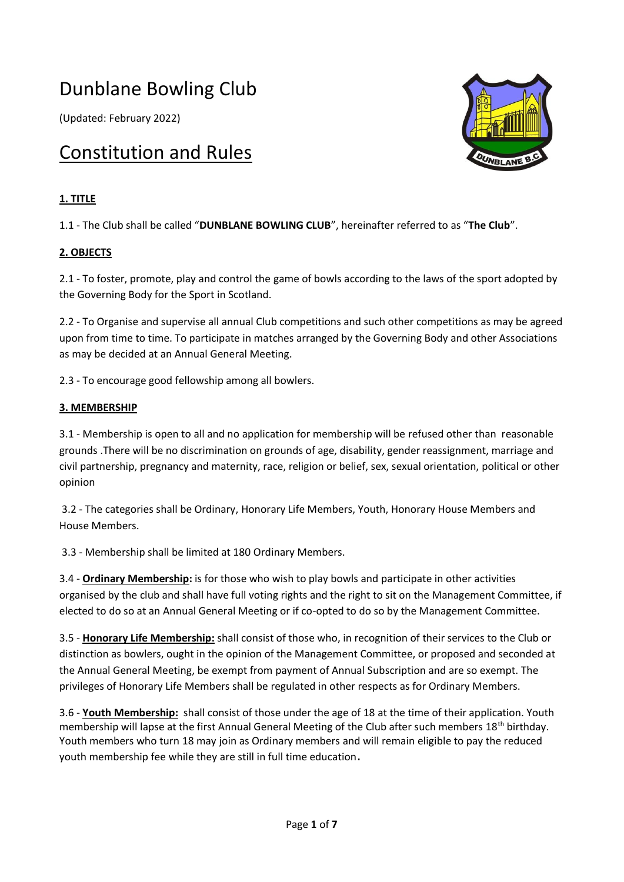# Dunblane Bowling Club

(Updated: February 2022)

# Constitution and Rules

# **1. TITLE**

1.1 - The Club shall be called "**DUNBLANE BOWLING CLUB**", hereinafter referred to as "**The Club**".

# **2. OBJECTS**

2.1 - To foster, promote, play and control the game of bowls according to the laws of the sport adopted by the Governing Body for the Sport in Scotland.

2.2 - To Organise and supervise all annual Club competitions and such other competitions as may be agreed upon from time to time. To participate in matches arranged by the Governing Body and other Associations as may be decided at an Annual General Meeting.

2.3 - To encourage good fellowship among all bowlers.

# **3. MEMBERSHIP**

3.1 - Membership is open to all and no application for membership will be refused other than reasonable grounds .There will be no discrimination on grounds of age, disability, gender reassignment, marriage and civil partnership, pregnancy and maternity, race, religion or belief, sex, sexual orientation, political or other opinion

3.2 - The categories shall be Ordinary, Honorary Life Members, Youth, Honorary House Members and House Members.

3.3 - Membership shall be limited at 180 Ordinary Members.

3.4 - **Ordinary Membership:** is for those who wish to play bowls and participate in other activities organised by the club and shall have full voting rights and the right to sit on the Management Committee, if elected to do so at an Annual General Meeting or if co-opted to do so by the Management Committee.

3.5 - **Honorary Life Membership:** shall consist of those who, in recognition of their services to the Club or distinction as bowlers, ought in the opinion of the Management Committee, or proposed and seconded at the Annual General Meeting, be exempt from payment of Annual Subscription and are so exempt. The privileges of Honorary Life Members shall be regulated in other respects as for Ordinary Members.

3.6 - **Youth Membership:** shall consist of those under the age of 18 at the time of their application. Youth membership will lapse at the first Annual General Meeting of the Club after such members 18<sup>th</sup> birthday. Youth members who turn 18 may join as Ordinary members and will remain eligible to pay the reduced youth membership fee while they are still in full time education.

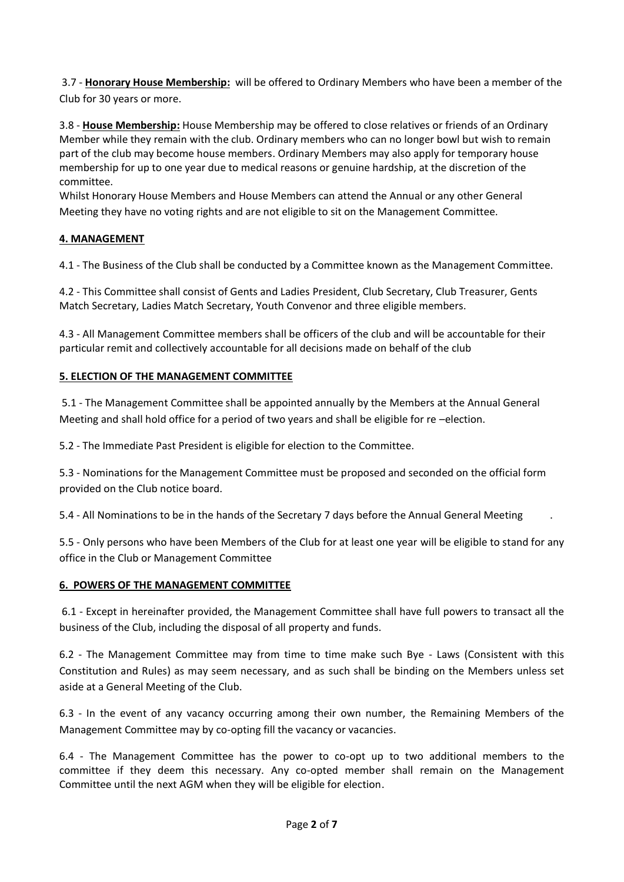3.7 - **Honorary House Membership:** will be offered to Ordinary Members who have been a member of the Club for 30 years or more.

3.8 - **House Membership:** House Membership may be offered to close relatives or friends of an Ordinary Member while they remain with the club. Ordinary members who can no longer bowl but wish to remain part of the club may become house members. Ordinary Members may also apply for temporary house membership for up to one year due to medical reasons or genuine hardship, at the discretion of the committee.

Whilst Honorary House Members and House Members can attend the Annual or any other General Meeting they have no voting rights and are not eligible to sit on the Management Committee.

# **4. MANAGEMENT**

4.1 - The Business of the Club shall be conducted by a Committee known as the Management Committee.

4.2 - This Committee shall consist of Gents and Ladies President, Club Secretary, Club Treasurer, Gents Match Secretary, Ladies Match Secretary, Youth Convenor and three eligible members.

4.3 - All Management Committee members shall be officers of the club and will be accountable for their particular remit and collectively accountable for all decisions made on behalf of the club

# **5. ELECTION OF THE MANAGEMENT COMMITTEE**

5.1 - The Management Committee shall be appointed annually by the Members at the Annual General Meeting and shall hold office for a period of two years and shall be eligible for re –election.

5.2 - The Immediate Past President is eligible for election to the Committee.

5.3 - Nominations for the Management Committee must be proposed and seconded on the official form provided on the Club notice board.

5.4 - All Nominations to be in the hands of the Secretary 7 days before the Annual General Meeting .

5.5 - Only persons who have been Members of the Club for at least one year will be eligible to stand for any office in the Club or Management Committee

# **6. POWERS OF THE MANAGEMENT COMMITTEE**

6.1 - Except in hereinafter provided, the Management Committee shall have full powers to transact all the business of the Club, including the disposal of all property and funds.

6.2 - The Management Committee may from time to time make such Bye - Laws (Consistent with this Constitution and Rules) as may seem necessary, and as such shall be binding on the Members unless set aside at a General Meeting of the Club.

6.3 - In the event of any vacancy occurring among their own number, the Remaining Members of the Management Committee may by co-opting fill the vacancy or vacancies.

6.4 - The Management Committee has the power to co-opt up to two additional members to the committee if they deem this necessary. Any co-opted member shall remain on the Management Committee until the next AGM when they will be eligible for election.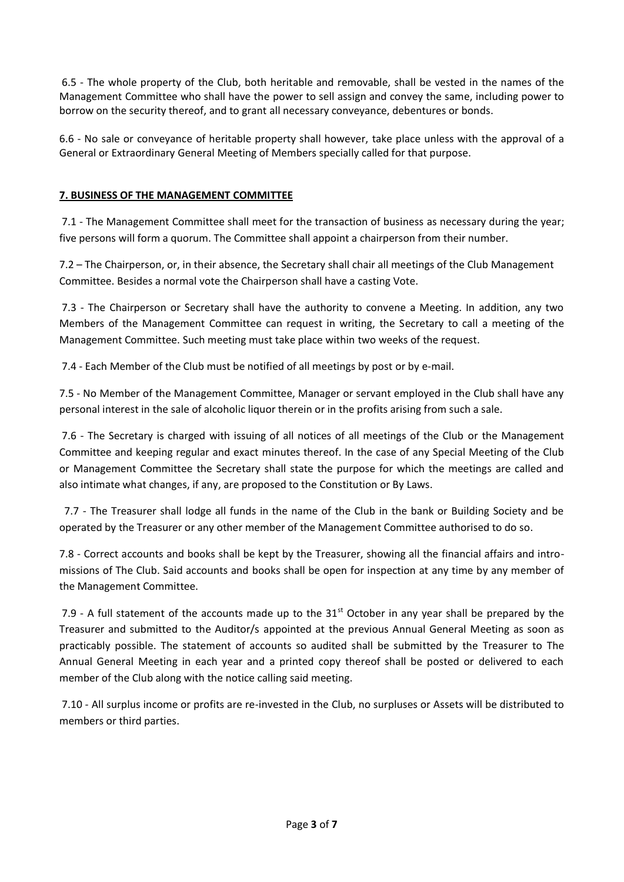6.5 - The whole property of the Club, both heritable and removable, shall be vested in the names of the Management Committee who shall have the power to sell assign and convey the same, including power to borrow on the security thereof, and to grant all necessary conveyance, debentures or bonds.

6.6 - No sale or conveyance of heritable property shall however, take place unless with the approval of a General or Extraordinary General Meeting of Members specially called for that purpose.

# **7. BUSINESS OF THE MANAGEMENT COMMITTEE**

7.1 - The Management Committee shall meet for the transaction of business as necessary during the year; five persons will form a quorum. The Committee shall appoint a chairperson from their number.

7.2 – The Chairperson, or, in their absence, the Secretary shall chair all meetings of the Club Management Committee. Besides a normal vote the Chairperson shall have a casting Vote.

7.3 - The Chairperson or Secretary shall have the authority to convene a Meeting. In addition, any two Members of the Management Committee can request in writing, the Secretary to call a meeting of the Management Committee. Such meeting must take place within two weeks of the request.

7.4 - Each Member of the Club must be notified of all meetings by post or by e-mail.

7.5 - No Member of the Management Committee, Manager or servant employed in the Club shall have any personal interest in the sale of alcoholic liquor therein or in the profits arising from such a sale.

7.6 - The Secretary is charged with issuing of all notices of all meetings of the Club or the Management Committee and keeping regular and exact minutes thereof. In the case of any Special Meeting of the Club or Management Committee the Secretary shall state the purpose for which the meetings are called and also intimate what changes, if any, are proposed to the Constitution or By Laws.

 7.7 - The Treasurer shall lodge all funds in the name of the Club in the bank or Building Society and be operated by the Treasurer or any other member of the Management Committee authorised to do so.

7.8 - Correct accounts and books shall be kept by the Treasurer, showing all the financial affairs and intromissions of The Club. Said accounts and books shall be open for inspection at any time by any member of the Management Committee.

7.9 - A full statement of the accounts made up to the  $31<sup>st</sup>$  October in any year shall be prepared by the Treasurer and submitted to the Auditor/s appointed at the previous Annual General Meeting as soon as practicably possible. The statement of accounts so audited shall be submitted by the Treasurer to The Annual General Meeting in each year and a printed copy thereof shall be posted or delivered to each member of the Club along with the notice calling said meeting.

7.10 - All surplus income or profits are re-invested in the Club, no surpluses or Assets will be distributed to members or third parties.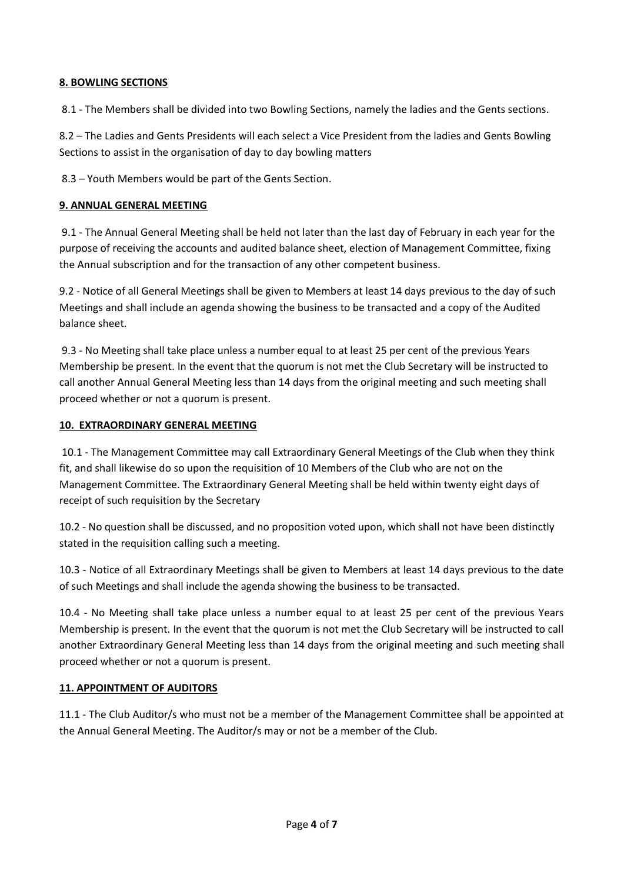# **8. BOWLING SECTIONS**

8.1 - The Members shall be divided into two Bowling Sections, namely the ladies and the Gents sections.

8.2 – The Ladies and Gents Presidents will each select a Vice President from the ladies and Gents Bowling Sections to assist in the organisation of day to day bowling matters

8.3 – Youth Members would be part of the Gents Section.

#### **9. ANNUAL GENERAL MEETING**

9.1 - The Annual General Meeting shall be held not later than the last day of February in each year for the purpose of receiving the accounts and audited balance sheet, election of Management Committee, fixing the Annual subscription and for the transaction of any other competent business.

9.2 - Notice of all General Meetings shall be given to Members at least 14 days previous to the day of such Meetings and shall include an agenda showing the business to be transacted and a copy of the Audited balance sheet.

9.3 - No Meeting shall take place unless a number equal to at least 25 per cent of the previous Years Membership be present. In the event that the quorum is not met the Club Secretary will be instructed to call another Annual General Meeting less than 14 days from the original meeting and such meeting shall proceed whether or not a quorum is present.

#### **10. EXTRAORDINARY GENERAL MEETING**

10.1 - The Management Committee may call Extraordinary General Meetings of the Club when they think fit, and shall likewise do so upon the requisition of 10 Members of the Club who are not on the Management Committee. The Extraordinary General Meeting shall be held within twenty eight days of receipt of such requisition by the Secretary

10.2 - No question shall be discussed, and no proposition voted upon, which shall not have been distinctly stated in the requisition calling such a meeting.

10.3 - Notice of all Extraordinary Meetings shall be given to Members at least 14 days previous to the date of such Meetings and shall include the agenda showing the business to be transacted.

10.4 - No Meeting shall take place unless a number equal to at least 25 per cent of the previous Years Membership is present. In the event that the quorum is not met the Club Secretary will be instructed to call another Extraordinary General Meeting less than 14 days from the original meeting and such meeting shall proceed whether or not a quorum is present.

# **11. APPOINTMENT OF AUDITORS**

11.1 - The Club Auditor/s who must not be a member of the Management Committee shall be appointed at the Annual General Meeting. The Auditor/s may or not be a member of the Club.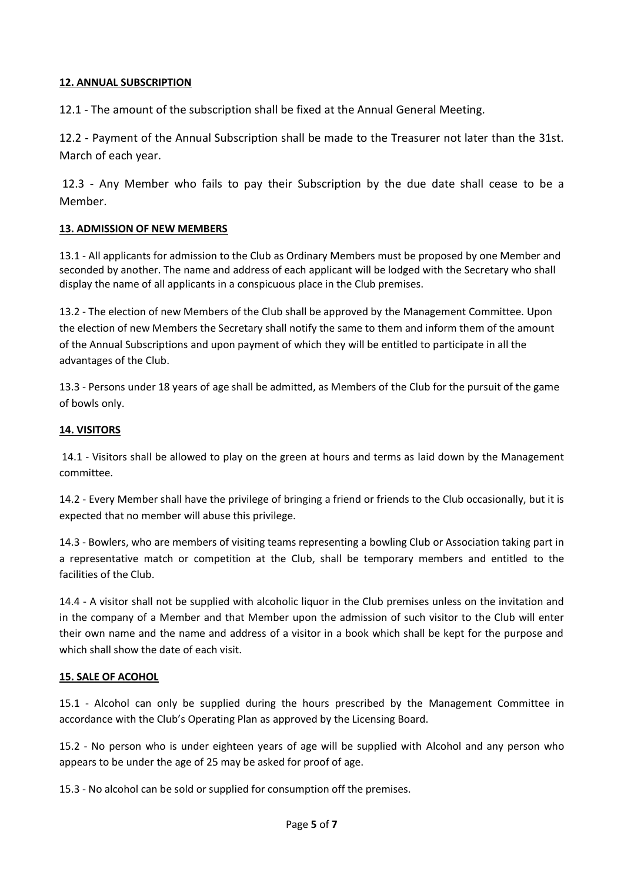# **12. ANNUAL SUBSCRIPTION**

12.1 - The amount of the subscription shall be fixed at the Annual General Meeting.

12.2 - Payment of the Annual Subscription shall be made to the Treasurer not later than the 31st. March of each year.

12.3 - Any Member who fails to pay their Subscription by the due date shall cease to be a Member.

#### **13. ADMISSION OF NEW MEMBERS**

13.1 - All applicants for admission to the Club as Ordinary Members must be proposed by one Member and seconded by another. The name and address of each applicant will be lodged with the Secretary who shall display the name of all applicants in a conspicuous place in the Club premises.

13.2 - The election of new Members of the Club shall be approved by the Management Committee. Upon the election of new Members the Secretary shall notify the same to them and inform them of the amount of the Annual Subscriptions and upon payment of which they will be entitled to participate in all the advantages of the Club.

13.3 - Persons under 18 years of age shall be admitted, as Members of the Club for the pursuit of the game of bowls only.

#### **14. VISITORS**

14.1 - Visitors shall be allowed to play on the green at hours and terms as laid down by the Management committee.

14.2 - Every Member shall have the privilege of bringing a friend or friends to the Club occasionally, but it is expected that no member will abuse this privilege.

14.3 - Bowlers, who are members of visiting teams representing a bowling Club or Association taking part in a representative match or competition at the Club, shall be temporary members and entitled to the facilities of the Club.

14.4 - A visitor shall not be supplied with alcoholic liquor in the Club premises unless on the invitation and in the company of a Member and that Member upon the admission of such visitor to the Club will enter their own name and the name and address of a visitor in a book which shall be kept for the purpose and which shall show the date of each visit.

#### **15. SALE OF ACOHOL**

15.1 - Alcohol can only be supplied during the hours prescribed by the Management Committee in accordance with the Club's Operating Plan as approved by the Licensing Board.

15.2 - No person who is under eighteen years of age will be supplied with Alcohol and any person who appears to be under the age of 25 may be asked for proof of age.

15.3 - No alcohol can be sold or supplied for consumption off the premises.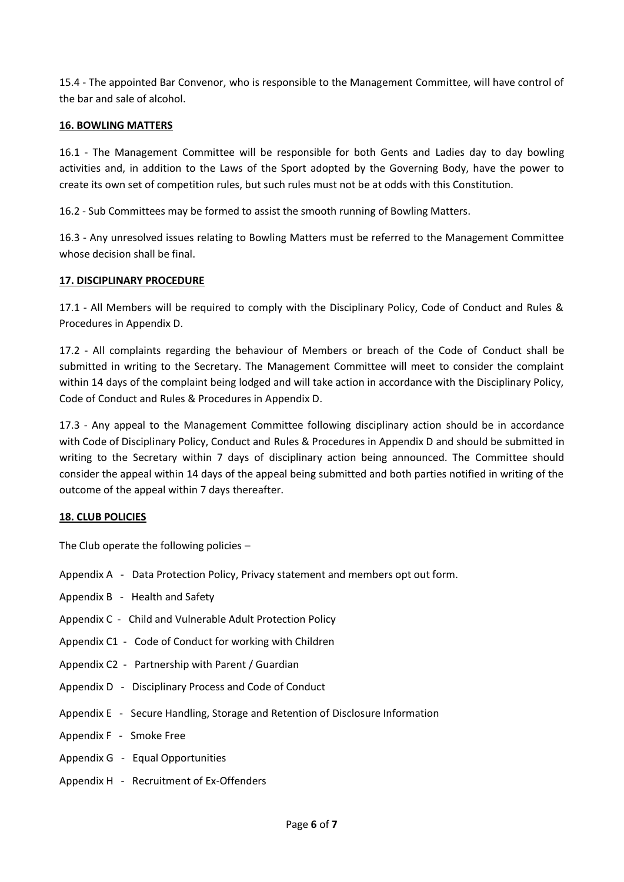15.4 - The appointed Bar Convenor, who is responsible to the Management Committee, will have control of the bar and sale of alcohol.

#### **16. BOWLING MATTERS**

16.1 - The Management Committee will be responsible for both Gents and Ladies day to day bowling activities and, in addition to the Laws of the Sport adopted by the Governing Body, have the power to create its own set of competition rules, but such rules must not be at odds with this Constitution.

16.2 - Sub Committees may be formed to assist the smooth running of Bowling Matters.

16.3 - Any unresolved issues relating to Bowling Matters must be referred to the Management Committee whose decision shall be final.

#### **17. DISCIPLINARY PROCEDURE**

17.1 - All Members will be required to comply with the Disciplinary Policy, Code of Conduct and Rules & Procedures in Appendix D.

17.2 - All complaints regarding the behaviour of Members or breach of the Code of Conduct shall be submitted in writing to the Secretary. The Management Committee will meet to consider the complaint within 14 days of the complaint being lodged and will take action in accordance with the Disciplinary Policy, Code of Conduct and Rules & Procedures in Appendix D.

17.3 - Any appeal to the Management Committee following disciplinary action should be in accordance with Code of Disciplinary Policy, Conduct and Rules & Procedures in Appendix D and should be submitted in writing to the Secretary within 7 days of disciplinary action being announced. The Committee should consider the appeal within 14 days of the appeal being submitted and both parties notified in writing of the outcome of the appeal within 7 days thereafter.

#### **18. CLUB POLICIES**

The Club operate the following policies –

- Appendix A Data Protection Policy, Privacy statement and members opt out form.
- Appendix B Health and Safety
- Appendix C Child and Vulnerable Adult Protection Policy
- Appendix C1 Code of Conduct for working with Children
- Appendix C2 Partnership with Parent / Guardian
- Appendix D Disciplinary Process and Code of Conduct
- Appendix E Secure Handling, Storage and Retention of Disclosure Information
- Appendix F Smoke Free
- Appendix G Equal Opportunities
- Appendix H Recruitment of Ex-Offenders